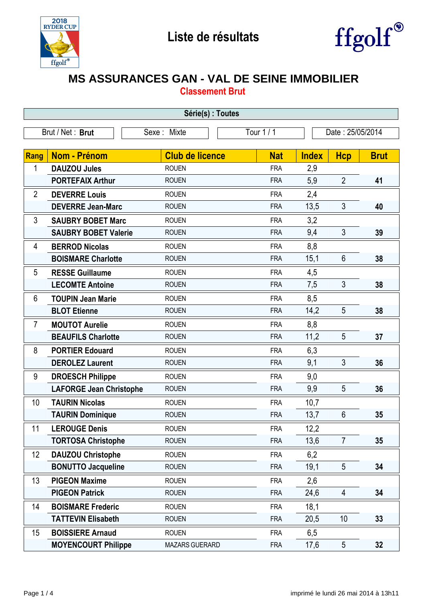



## **MS ASSURANCES GAN - VAL DE SEINE IMMOBILIER**

**Classement Brut**

| Série(s) : Toutes                                                 |                                |                        |            |              |                |             |  |
|-------------------------------------------------------------------|--------------------------------|------------------------|------------|--------------|----------------|-------------|--|
| Tour 1 / 1<br>Brut / Net: Brut<br>Date: 25/05/2014<br>Sexe: Mixte |                                |                        |            |              |                |             |  |
|                                                                   |                                |                        |            |              |                |             |  |
| <b>Rang</b>                                                       | Nom - Prénom                   | <b>Club de licence</b> | <b>Nat</b> | <b>Index</b> | <b>Hcp</b>     | <b>Brut</b> |  |
| 1                                                                 | <b>DAUZOU Jules</b>            | <b>ROUEN</b>           | <b>FRA</b> | 2,9          |                |             |  |
|                                                                   | <b>PORTEFAIX Arthur</b>        | <b>ROUEN</b>           | <b>FRA</b> | 5,9          | $\overline{2}$ | 41          |  |
| $\overline{2}$                                                    | <b>DEVERRE Louis</b>           | <b>ROUEN</b>           | <b>FRA</b> | 2,4          |                |             |  |
|                                                                   | <b>DEVERRE Jean-Marc</b>       | <b>ROUEN</b>           | <b>FRA</b> | 13,5         | $\mathfrak{Z}$ | 40          |  |
| 3                                                                 | <b>SAUBRY BOBET Marc</b>       | <b>ROUEN</b>           | <b>FRA</b> | 3,2          |                |             |  |
|                                                                   | <b>SAUBRY BOBET Valerie</b>    | <b>ROUEN</b>           | <b>FRA</b> | 9,4          | 3              | 39          |  |
| 4                                                                 | <b>BERROD Nicolas</b>          | <b>ROUEN</b>           | <b>FRA</b> | 8,8          |                |             |  |
|                                                                   | <b>BOISMARE Charlotte</b>      | <b>ROUEN</b>           | <b>FRA</b> | 15,1         | $6\phantom{1}$ | 38          |  |
| 5                                                                 | <b>RESSE Guillaume</b>         | <b>ROUEN</b>           | <b>FRA</b> | 4,5          |                |             |  |
|                                                                   | <b>LECOMTE Antoine</b>         | <b>ROUEN</b>           | <b>FRA</b> | 7,5          | 3              | 38          |  |
| 6                                                                 | <b>TOUPIN Jean Marie</b>       | <b>ROUEN</b>           | <b>FRA</b> | 8,5          |                |             |  |
|                                                                   | <b>BLOT Etienne</b>            | <b>ROUEN</b>           | <b>FRA</b> | 14,2         | 5              | 38          |  |
| 7                                                                 | <b>MOUTOT Aurelie</b>          | <b>ROUEN</b>           | <b>FRA</b> | 8,8          |                |             |  |
|                                                                   | <b>BEAUFILS Charlotte</b>      | <b>ROUEN</b>           | <b>FRA</b> | 11,2         | 5              | 37          |  |
| 8                                                                 | <b>PORTIER Edouard</b>         | <b>ROUEN</b>           | <b>FRA</b> | 6,3          |                |             |  |
|                                                                   | <b>DEROLEZ Laurent</b>         | <b>ROUEN</b>           | <b>FRA</b> | 9,1          | 3              | 36          |  |
| 9                                                                 | <b>DROESCH Philippe</b>        | <b>ROUEN</b>           | <b>FRA</b> | 9,0          |                |             |  |
|                                                                   | <b>LAFORGE Jean Christophe</b> | <b>ROUEN</b>           | <b>FRA</b> | 9,9          | 5              | 36          |  |
| 10                                                                | <b>TAURIN Nicolas</b>          | <b>ROUEN</b>           | <b>FRA</b> | 10,7         |                |             |  |
|                                                                   | <b>TAURIN Dominique</b>        | <b>ROUEN</b>           | <b>FRA</b> | 13,7         | 6              | 35          |  |
| 11                                                                | <b>LEROUGE Denis</b>           | <b>ROUEN</b>           | <b>FRA</b> | 12,2         |                |             |  |
|                                                                   | <b>TORTOSA Christophe</b>      | <b>ROUEN</b>           | <b>FRA</b> | 13,6         | $\overline{7}$ | 35          |  |
| 12                                                                | <b>DAUZOU Christophe</b>       | <b>ROUEN</b>           | <b>FRA</b> | 6,2          |                |             |  |
|                                                                   | <b>BONUTTO Jacqueline</b>      | <b>ROUEN</b>           | <b>FRA</b> | 19,1         | 5              | 34          |  |
| 13                                                                | <b>PIGEON Maxime</b>           | <b>ROUEN</b>           | <b>FRA</b> | 2,6          |                |             |  |
|                                                                   | <b>PIGEON Patrick</b>          | <b>ROUEN</b>           | <b>FRA</b> | 24,6         | $\overline{4}$ | 34          |  |
| 14                                                                | <b>BOISMARE Frederic</b>       | <b>ROUEN</b>           | <b>FRA</b> | 18,1         |                |             |  |
|                                                                   | <b>TATTEVIN Elisabeth</b>      | <b>ROUEN</b>           | <b>FRA</b> | 20,5         | 10             | 33          |  |
| 15                                                                | <b>BOISSIERE Arnaud</b>        | <b>ROUEN</b>           | <b>FRA</b> | 6,5          |                |             |  |
|                                                                   | <b>MOYENCOURT Philippe</b>     | MAZARS GUERARD         | <b>FRA</b> | 17,6         | 5              | 32          |  |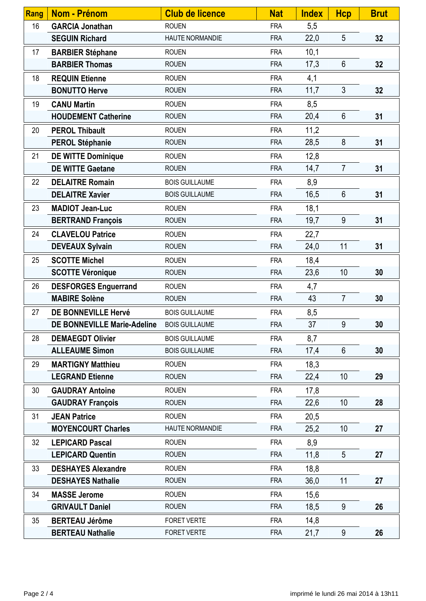| Rang | <b>Nom - Prénom</b>                | <b>Club de licence</b> | <b>Nat</b> | <b>Index</b> | <b>Hcp</b>      | <b>Brut</b> |
|------|------------------------------------|------------------------|------------|--------------|-----------------|-------------|
| 16   | <b>GARCIA Jonathan</b>             | <b>ROUEN</b>           | <b>FRA</b> | 5,5          |                 |             |
|      | <b>SEGUIN Richard</b>              | HAUTE NORMANDIE        | <b>FRA</b> | 22,0         | 5               | 32          |
| 17   | <b>BARBIER Stéphane</b>            | <b>ROUEN</b>           | <b>FRA</b> | 10,1         |                 |             |
|      | <b>BARBIER Thomas</b>              | <b>ROUEN</b>           | <b>FRA</b> | 17,3         | 6               | 32          |
| 18   | <b>REQUIN Etienne</b>              | <b>ROUEN</b>           | <b>FRA</b> | 4,1          |                 |             |
|      | <b>BONUTTO Herve</b>               | <b>ROUEN</b>           | <b>FRA</b> | 11,7         | 3               | 32          |
| 19   | <b>CANU Martin</b>                 | <b>ROUEN</b>           | <b>FRA</b> | 8,5          |                 |             |
|      | <b>HOUDEMENT Catherine</b>         | <b>ROUEN</b>           | <b>FRA</b> | 20,4         | $6\phantom{1}$  | 31          |
| 20   | <b>PEROL Thibault</b>              | <b>ROUEN</b>           | <b>FRA</b> | 11,2         |                 |             |
|      | <b>PEROL Stéphanie</b>             | <b>ROUEN</b>           | <b>FRA</b> | 28,5         | 8               | 31          |
| 21   | <b>DE WITTE Dominique</b>          | <b>ROUEN</b>           | <b>FRA</b> | 12,8         |                 |             |
|      | <b>DE WITTE Gaetane</b>            | <b>ROUEN</b>           | <b>FRA</b> | 14,7         | $\overline{7}$  | 31          |
| 22   | <b>DELAITRE Romain</b>             | <b>BOIS GUILLAUME</b>  | <b>FRA</b> | 8,9          |                 |             |
|      | <b>DELAITRE Xavier</b>             | <b>BOIS GUILLAUME</b>  | <b>FRA</b> | 16,5         | $6\phantom{1}$  | 31          |
| 23   | <b>MADIOT Jean-Luc</b>             | <b>ROUEN</b>           | <b>FRA</b> | 18,1         |                 |             |
|      | <b>BERTRAND François</b>           | <b>ROUEN</b>           | <b>FRA</b> | 19,7         | 9               | 31          |
| 24   | <b>CLAVELOU Patrice</b>            | <b>ROUEN</b>           | <b>FRA</b> | 22,7         |                 |             |
|      | <b>DEVEAUX Sylvain</b>             | <b>ROUEN</b>           | <b>FRA</b> | 24,0         | 11              | 31          |
| 25   | <b>SCOTTE Michel</b>               | <b>ROUEN</b>           | <b>FRA</b> | 18,4         |                 |             |
|      | <b>SCOTTE Véronique</b>            | <b>ROUEN</b>           | <b>FRA</b> | 23,6         | 10              | 30          |
| 26   | <b>DESFORGES Enguerrand</b>        | <b>ROUEN</b>           | <b>FRA</b> | 4,7          |                 |             |
|      | <b>MABIRE Solène</b>               | <b>ROUEN</b>           | <b>FRA</b> | 43           | $\overline{7}$  | 30          |
| 27   | DE BONNEVILLE Hervé                | <b>BOIS GUILLAUME</b>  | <b>FRA</b> | 8,5          |                 |             |
|      | <b>DE BONNEVILLE Marie-Adeline</b> | <b>BOIS GUILLAUME</b>  | <b>FRA</b> | 37           | 9               | 30          |
| 28   | <b>DEMAEGDT Olivier</b>            | <b>BOIS GUILLAUME</b>  | <b>FRA</b> | 8,7          |                 |             |
|      | <b>ALLEAUME Simon</b>              | <b>BOIS GUILLAUME</b>  | <b>FRA</b> | 17,4         | 6               | 30          |
| 29   | <b>MARTIGNY Matthieu</b>           | <b>ROUEN</b>           | <b>FRA</b> | 18,3         |                 |             |
|      | <b>LEGRAND Etienne</b>             | <b>ROUEN</b>           | <b>FRA</b> | 22,4         | 10 <sup>1</sup> | 29          |
| 30   | <b>GAUDRAY Antoine</b>             | <b>ROUEN</b>           | <b>FRA</b> | 17,8         |                 |             |
|      | <b>GAUDRAY François</b>            | <b>ROUEN</b>           | <b>FRA</b> | 22,6         | 10 <sup>1</sup> | 28          |
| 31   | <b>JEAN Patrice</b>                | <b>ROUEN</b>           | <b>FRA</b> | 20,5         |                 |             |
|      | <b>MOYENCOURT Charles</b>          | HAUTE NORMANDIE        | <b>FRA</b> | 25,2         | 10              | 27          |
| 32   | <b>LEPICARD Pascal</b>             | <b>ROUEN</b>           | <b>FRA</b> | 8,9          |                 |             |
|      | <b>LEPICARD Quentin</b>            | <b>ROUEN</b>           | <b>FRA</b> | 11,8         | 5               | 27          |
| 33   | <b>DESHAYES Alexandre</b>          | <b>ROUEN</b>           | <b>FRA</b> | 18,8         |                 |             |
|      | <b>DESHAYES Nathalie</b>           | <b>ROUEN</b>           | <b>FRA</b> | 36,0         | 11              | 27          |
| 34   | <b>MASSE Jerome</b>                | <b>ROUEN</b>           | <b>FRA</b> | 15,6         |                 |             |
|      | <b>GRIVAULT Daniel</b>             | <b>ROUEN</b>           | <b>FRA</b> | 18,5         | 9               | 26          |
| 35   | <b>BERTEAU Jérôme</b>              | <b>FORET VERTE</b>     | <b>FRA</b> | 14,8         |                 |             |
|      | <b>BERTEAU Nathalie</b>            | FORET VERTE            | <b>FRA</b> | 21,7         | 9               | 26          |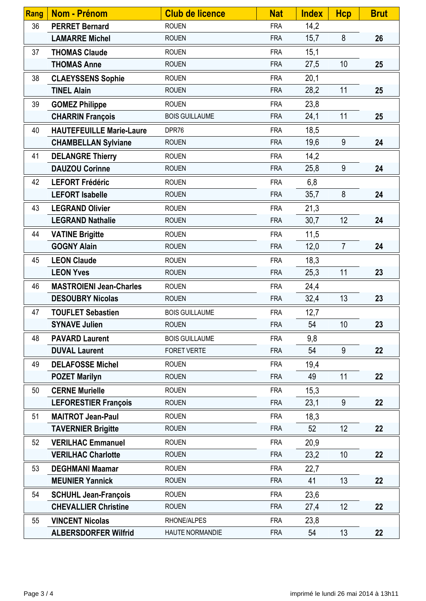| Rang | <b>Nom - Prénom</b>             | <b>Club de licence</b> | <b>Nat</b> | <b>Index</b> | <b>Hcp</b>      | <b>Brut</b> |
|------|---------------------------------|------------------------|------------|--------------|-----------------|-------------|
| 36   | <b>PERRET Bernard</b>           | <b>ROUEN</b>           | <b>FRA</b> | 14,2         |                 |             |
|      | <b>LAMARRE Michel</b>           | <b>ROUEN</b>           | <b>FRA</b> | 15,7         | 8               | 26          |
| 37   | <b>THOMAS Claude</b>            | <b>ROUEN</b>           | <b>FRA</b> | 15,1         |                 |             |
|      | <b>THOMAS Anne</b>              | <b>ROUEN</b>           | <b>FRA</b> | 27,5         | 10              | 25          |
| 38   | <b>CLAEYSSENS Sophie</b>        | <b>ROUEN</b>           | <b>FRA</b> | 20,1         |                 |             |
|      | <b>TINEL Alain</b>              | <b>ROUEN</b>           | <b>FRA</b> | 28,2         | 11              | 25          |
| 39   | <b>GOMEZ Philippe</b>           | <b>ROUEN</b>           | <b>FRA</b> | 23,8         |                 |             |
|      | <b>CHARRIN François</b>         | <b>BOIS GUILLAUME</b>  | <b>FRA</b> | 24,1         | 11              | 25          |
| 40   | <b>HAUTEFEUILLE Marie-Laure</b> | DPR76                  | <b>FRA</b> | 18,5         |                 |             |
|      | <b>CHAMBELLAN Sylviane</b>      | <b>ROUEN</b>           | <b>FRA</b> | 19,6         | 9               | 24          |
| 41   | <b>DELANGRE Thierry</b>         | <b>ROUEN</b>           | <b>FRA</b> | 14,2         |                 |             |
|      | <b>DAUZOU Corinne</b>           | <b>ROUEN</b>           | <b>FRA</b> | 25,8         | 9               | 24          |
| 42   | <b>LEFORT Frédéric</b>          | <b>ROUEN</b>           | <b>FRA</b> | 6,8          |                 |             |
|      | <b>LEFORT Isabelle</b>          | <b>ROUEN</b>           | <b>FRA</b> | 35,7         | 8               | 24          |
| 43   | <b>LEGRAND Olivier</b>          | <b>ROUEN</b>           | <b>FRA</b> | 21,3         |                 |             |
|      | <b>LEGRAND Nathalie</b>         | <b>ROUEN</b>           | <b>FRA</b> | 30,7         | 12              | 24          |
| 44   | <b>VATINE Brigitte</b>          | <b>ROUEN</b>           | <b>FRA</b> | 11,5         |                 |             |
|      | <b>GOGNY Alain</b>              | <b>ROUEN</b>           | <b>FRA</b> | 12,0         | $\overline{7}$  | 24          |
| 45   | <b>LEON Claude</b>              | <b>ROUEN</b>           | <b>FRA</b> | 18,3         |                 |             |
|      | <b>LEON Yves</b>                | <b>ROUEN</b>           | <b>FRA</b> | 25,3         | 11              | 23          |
| 46   | <b>MASTROIENI Jean-Charles</b>  | <b>ROUEN</b>           | <b>FRA</b> | 24,4         |                 |             |
|      | <b>DESOUBRY Nicolas</b>         | <b>ROUEN</b>           | <b>FRA</b> | 32,4         | 13              | 23          |
| 47   | <b>TOUFLET Sebastien</b>        | <b>BOIS GUILLAUME</b>  | <b>FRA</b> | 12,7         |                 |             |
|      | <b>SYNAVE Julien</b>            | <b>ROUEN</b>           | <b>FRA</b> | 54           | 10 <sup>1</sup> | 23          |
| 48   | <b>PAVARD Laurent</b>           | <b>BOIS GUILLAUME</b>  | <b>FRA</b> | 9,8          |                 |             |
|      | <b>DUVAL Laurent</b>            | <b>FORET VERTE</b>     | <b>FRA</b> | 54           | 9               | 22          |
| 49   | <b>DELAFOSSE Michel</b>         | <b>ROUEN</b>           | <b>FRA</b> | 19,4         |                 |             |
|      | <b>POZET Marilyn</b>            | <b>ROUEN</b>           | <b>FRA</b> | 49           | 11              | 22          |
| 50   | <b>CERNE Murielle</b>           | <b>ROUEN</b>           | <b>FRA</b> | 15,3         |                 |             |
|      | <b>LEFORESTIER François</b>     | <b>ROUEN</b>           | <b>FRA</b> | 23,1         | 9               | 22          |
| 51   | <b>MAITROT Jean-Paul</b>        | <b>ROUEN</b>           | <b>FRA</b> | 18,3         |                 |             |
|      | <b>TAVERNIER Brigitte</b>       | <b>ROUEN</b>           | <b>FRA</b> | 52           | 12              | 22          |
| 52   | <b>VERILHAC Emmanuel</b>        | <b>ROUEN</b>           | <b>FRA</b> | 20,9         |                 |             |
|      | <b>VERILHAC Charlotte</b>       | <b>ROUEN</b>           | <b>FRA</b> | 23,2         | 10              | 22          |
| 53   | <b>DEGHMANI Maamar</b>          | <b>ROUEN</b>           | <b>FRA</b> | 22,7         |                 |             |
|      | <b>MEUNIER Yannick</b>          | <b>ROUEN</b>           | <b>FRA</b> | 41           | 13              | 22          |
| 54   | <b>SCHUHL Jean-François</b>     | <b>ROUEN</b>           | <b>FRA</b> | 23,6         |                 |             |
|      | <b>CHEVALLIER Christine</b>     | <b>ROUEN</b>           | <b>FRA</b> | 27,4         | 12              | 22          |
| 55   | <b>VINCENT Nicolas</b>          | RHONE/ALPES            | <b>FRA</b> | 23,8         |                 |             |
|      | <b>ALBERSDORFER Wilfrid</b>     | HAUTE NORMANDIE        | <b>FRA</b> | 54           | 13              | 22          |